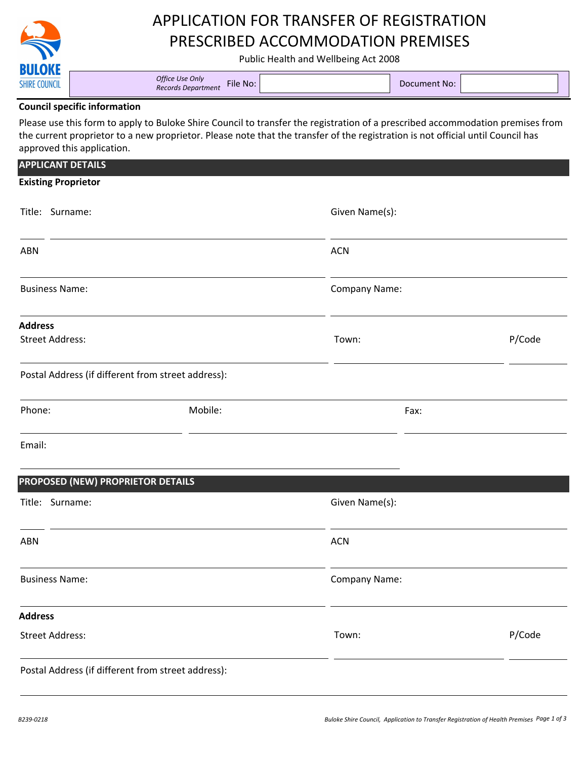

# APPLICATION FOR TRANSFER OF REGISTRATION PRESCRIBED ACCOMMODATION PREMISES

Public Health and Wellbeing Act 2008

#### **Council specific information**

Please use this form to apply to Buloke Shire Council to transfer the registration of a prescribed accommodation premises from the current proprietor to a new proprietor. Please note that the transfer of the registration is not official until Council has approved this application.

| <b>APPLICANT DETAILS</b>                           |         |                |        |
|----------------------------------------------------|---------|----------------|--------|
| <b>Existing Proprietor</b>                         |         |                |        |
| Title: Surname:                                    |         | Given Name(s): |        |
| <b>ABN</b>                                         |         | <b>ACN</b>     |        |
| <b>Business Name:</b>                              |         | Company Name:  |        |
| <b>Address</b>                                     |         |                |        |
| <b>Street Address:</b>                             |         | Town:          | P/Code |
| Postal Address (if different from street address): |         |                |        |
| Phone:                                             | Mobile: | Fax:           |        |
| Email:                                             |         |                |        |
| PROPOSED (NEW) PROPRIETOR DETAILS                  |         |                |        |
| Title: Surname:                                    |         | Given Name(s): |        |
|                                                    |         |                |        |

ABN ACN

Business Name: Company Name: Company Name: Company Name: Company Name: Company Name: Company Name: Company Name

**Address**

Street Address:

Postal Address (if different from street address):

Town: P/Code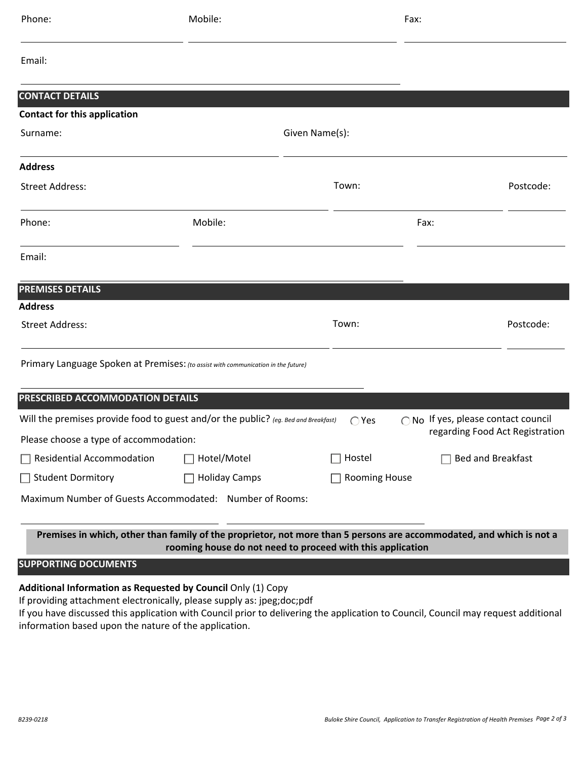| Phone:                                                                                                                                      | Mobile:              |                | Fax:              |                                 |  |  |
|---------------------------------------------------------------------------------------------------------------------------------------------|----------------------|----------------|-------------------|---------------------------------|--|--|
| Email:                                                                                                                                      |                      |                |                   |                                 |  |  |
| <b>CONTACT DETAILS</b>                                                                                                                      |                      |                |                   |                                 |  |  |
| <b>Contact for this application</b>                                                                                                         |                      |                |                   |                                 |  |  |
| Surname:                                                                                                                                    |                      | Given Name(s): |                   |                                 |  |  |
| <b>Address</b>                                                                                                                              |                      |                |                   |                                 |  |  |
| <b>Street Address:</b>                                                                                                                      |                      | Town:          |                   | Postcode:                       |  |  |
| Phone:                                                                                                                                      | Mobile:              |                | Fax:              |                                 |  |  |
| Email:                                                                                                                                      |                      |                |                   |                                 |  |  |
| <b>PREMISES DETAILS</b>                                                                                                                     |                      |                |                   |                                 |  |  |
| <b>Address</b>                                                                                                                              |                      |                |                   |                                 |  |  |
| <b>Street Address:</b>                                                                                                                      |                      | Town:          |                   | Postcode:                       |  |  |
| Primary Language Spoken at Premises: (to assist with communication in the future)                                                           |                      |                |                   |                                 |  |  |
| PRESCRIBED ACCOMMODATION DETAILS                                                                                                            |                      |                |                   |                                 |  |  |
| Will the premises provide food to guest and/or the public? (eg. Bed and Breakfast)<br>○ No If yes, please contact council<br>$\bigcirc$ Yes |                      |                |                   |                                 |  |  |
| Please choose a type of accommodation:                                                                                                      |                      |                |                   | regarding Food Act Registration |  |  |
| Residential Accommodation                                                                                                                   | Hotel/Motel          | Hostel         | Bed and Breakfast |                                 |  |  |
| Student Dormitory                                                                                                                           | $\Box$ Holiday Camps | Rooming House  |                   |                                 |  |  |
| Maximum Number of Guests Accommodated: Number of Rooms:                                                                                     |                      |                |                   |                                 |  |  |

**Premises in which, other than family of the proprietor, not more than 5 persons are accommodated, and which is not a rooming house do not need to proceed with this application**

**SUPPORTING DOCUMENTS**  i

### **Additional Information as Requested by Council Only (1) Copy**

If providing attachment electronically, please supply as: jpeg;doc;pdf

If you have discussed this application with Council prior to delivering the application to Council, Council may request additional information based upon the nature of the application.